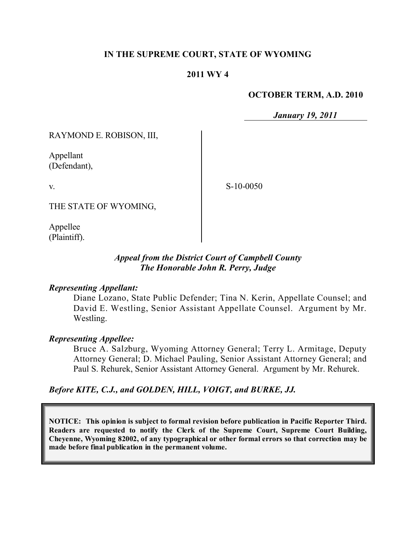## **IN THE SUPREME COURT, STATE OF WYOMING**

## **2011 WY 4**

#### **OCTOBER TERM, A.D. 2010**

*January 19, 2011*

RAYMOND E. ROBISON, III,

Appellant (Defendant),

v.

S-10-0050

THE STATE OF WYOMING,

Appellee (Plaintiff).

## *Appeal from the District Court of Campbell County The Honorable John R. Perry, Judge*

### *Representing Appellant:*

Diane Lozano, State Public Defender; Tina N. Kerin, Appellate Counsel; and David E. Westling, Senior Assistant Appellate Counsel. Argument by Mr. Westling.

### *Representing Appellee:*

Bruce A. Salzburg, Wyoming Attorney General; Terry L. Armitage, Deputy Attorney General; D. Michael Pauling, Senior Assistant Attorney General; and Paul S. Rehurek, Senior Assistant Attorney General. Argument by Mr. Rehurek.

*Before KITE, C.J., and GOLDEN, HILL, VOIGT, and BURKE, JJ.*

**NOTICE: This opinion is subject to formal revision before publication in Pacific Reporter Third. Readers are requested to notify the Clerk of the Supreme Court, Supreme Court Building, Cheyenne, Wyoming 82002, of any typographical or other formal errors so that correction may be made before final publication in the permanent volume.**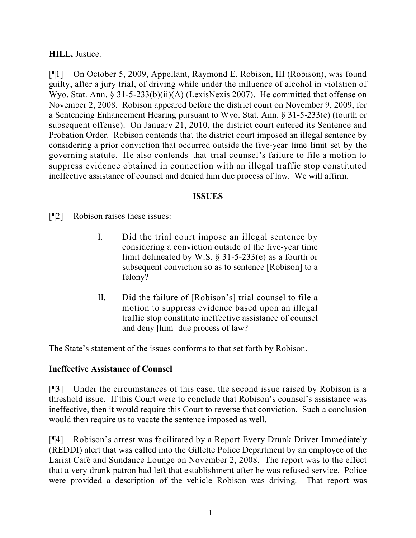## **HILL,** Justice.

[¶1] On October 5, 2009, Appellant, Raymond E. Robison, III (Robison), was found guilty, after a jury trial, of driving while under the influence of alcohol in violation of Wyo. Stat. Ann. § 31-5-233(b)(ii)(A) (LexisNexis 2007). He committed that offense on November 2, 2008. Robison appeared before the district court on November 9, 2009, for a Sentencing Enhancement Hearing pursuant to Wyo. Stat. Ann. § 31-5-233(e) (fourth or subsequent offense). On January 21, 2010, the district court entered its Sentence and Probation Order. Robison contends that the district court imposed an illegal sentence by considering a prior conviction that occurred outside the five-year time limit set by the governing statute. He also contends that trial counsel's failure to file a motion to suppress evidence obtained in connection with an illegal traffic stop constituted ineffective assistance of counsel and denied him due process of law. We will affirm.

## **ISSUES**

[¶2] Robison raises these issues:

- I. Did the trial court impose an illegal sentence by considering a conviction outside of the five-year time limit delineated by W.S. § 31-5-233(e) as a fourth or subsequent conviction so as to sentence [Robison] to a felony?
- II. Did the failure of [Robison's] trial counsel to file a motion to suppress evidence based upon an illegal traffic stop constitute ineffective assistance of counsel and deny [him] due process of law?

The State's statement of the issues conforms to that set forth by Robison.

# **Ineffective Assistance of Counsel**

[¶3] Under the circumstances of this case, the second issue raised by Robison is a threshold issue. If this Court were to conclude that Robison's counsel's assistance was ineffective, then it would require this Court to reverse that conviction. Such a conclusion would then require us to vacate the sentence imposed as well.

[¶4] Robison's arrest was facilitated by a Report Every Drunk Driver Immediately (REDDI) alert that was called into the Gillette Police Department by an employee of the Lariat Café and Sundance Lounge on November 2, 2008. The report was to the effect that a very drunk patron had left that establishment after he was refused service. Police were provided a description of the vehicle Robison was driving. That report was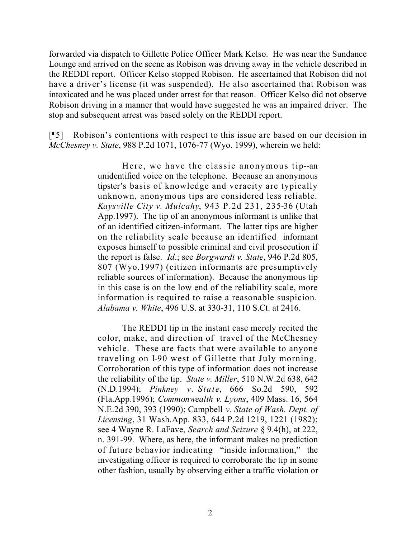forwarded via dispatch to Gillette Police Officer Mark Kelso. He was near the Sundance Lounge and arrived on the scene as Robison was driving away in the vehicle described in the REDDI report. Officer Kelso stopped Robison. He ascertained that Robison did not have a driver's license (it was suspended). He also ascertained that Robison was intoxicated and he was placed under arrest for that reason. Officer Kelso did not observe Robison driving in a manner that would have suggested he was an impaired driver. The stop and subsequent arrest was based solely on the REDDI report.

[¶5] Robison's contentions with respect to this issue are based on our decision in *McChesney v. State*, 988 P.2d 1071, 1076-77 (Wyo. 1999), wherein we held:

> Here, we have the classic anonymous tip--an unidentified voice on the telephone. Because an anonymous tipster's basis of knowledge and veracity are typically unknown, anonymous tips are considered less reliable. *Kaysville City v. Mulcahy*, 943 P.2d 231, 235-36 (Utah App.1997). The tip of an anonymous informant is unlike that of an identified citizen-informant. The latter tips are higher on the reliability scale because an identified informant exposes himself to possible criminal and civil prosecution if the report is false. *Id*.; see *Borgwardt v. State*, 946 P.2d 805, 807 (Wyo.1997) (citizen informants are presumptively reliable sources of information). Because the anonymous tip in this case is on the low end of the reliability scale, more information is required to raise a reasonable suspicion. *Alabama v. White*, 496 U.S. at 330-31, 110 S.Ct. at 2416.

> The REDDI tip in the instant case merely recited the color, make, and direction of travel of the McChesney vehicle. These are facts that were available to anyone traveling on I-90 west of Gillette that July morning. Corroboration of this type of information does not increase the reliability of the tip. *State v. Miller*, 510 N.W.2d 638, 642 (N.D.1994); *Pinkney v. State*, 666 So.2d 590, 592 (Fla.App.1996); *Commonwealth v. Lyons*, 409 Mass. 16, 564 N.E.2d 390, 393 (1990); Campbell *v. State of Wash. Dept. of Licensing*, 31 Wash.App. 833, 644 P.2d 1219, 1221 (1982); see 4 Wayne R. LaFave, *Search and Seizure* § 9.4(h), at 222, n. 391-99. Where, as here, the informant makes no prediction of future behavior indicating "inside information," the investigating officer is required to corroborate the tip in some other fashion, usually by observing either a traffic violation or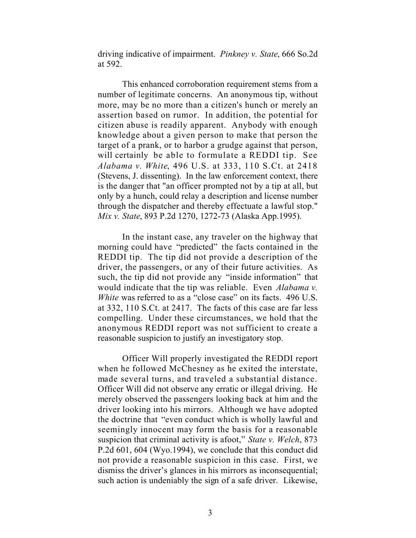driving indicative of impairment. *Pinkney v. State*, 666 So.2d at 592.

This enhanced corroboration requirement stems from a number of legitimate concerns. An anonymous tip, without more, may be no more than a citizen's hunch or merely an assertion based on rumor. In addition, the potential for citizen abuse is readily apparent. Anybody with enough knowledge about a given person to make that person the target of a prank, or to harbor a grudge against that person, will certainly be able to formulate a REDDI tip. See *Alabama v. White*, 496 U.S. at 333, 110 S.Ct. at 2418 (Stevens, J. dissenting). In the law enforcement context, there is the danger that "an officer prompted not by a tip at all, but only by a hunch, could relay a description and license number through the dispatcher and thereby effectuate a lawful stop." *Mix v. State*, 893 P.2d 1270, 1272-73 (Alaska App.1995).

In the instant case, any traveler on the highway that morning could have "predicted" the facts contained in the REDDI tip. The tip did not provide a description of the driver, the passengers, or any of their future activities. As such, the tip did not provide any "inside information" that would indicate that the tip was reliable. Even *Alabama v. White* was referred to as a "close case" on its facts. 496 U.S. at 332, 110 S.Ct. at 2417. The facts of this case are far less compelling. Under these circumstances, we hold that the anonymous REDDI report was not sufficient to create a reasonable suspicion to justify an investigatory stop.

Officer Will properly investigated the REDDI report when he followed McChesney as he exited the interstate, made several turns, and traveled a substantial distance. Officer Will did not observe any erratic or illegal driving. He merely observed the passengers looking back at him and the driver looking into his mirrors. Although we have adopted the doctrine that "even conduct which is wholly lawful and seemingly innocent may form the basis for a reasonable suspicion that criminal activity is afoot," *State v. Welch*, 873 P.2d 601, 604 (Wyo.1994), we conclude that this conduct did not provide a reasonable suspicion in this case. First, we dismiss the driver's glances in his mirrors as inconsequential; such action is undeniably the sign of a safe driver. Likewise,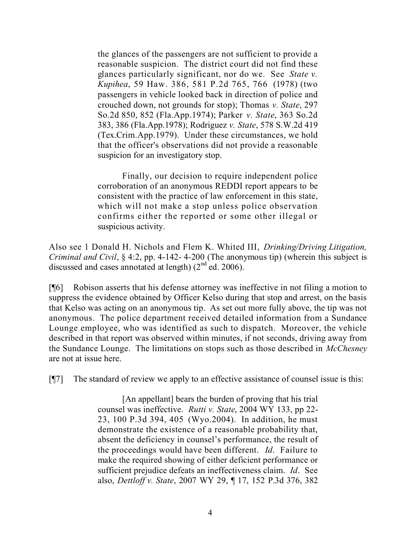the glances of the passengers are not sufficient to provide a reasonable suspicion. The district court did not find these glances particularly significant, nor do we. See *State v. Kupihea*, 59 Haw. 386, 581 P.2d 765, 766 (1978) (two passengers in vehicle looked back in direction of police and crouched down, not grounds for stop); Thomas *v. State*, 297 So.2d 850, 852 (Fla.App.1974); Parker *v. State*, 363 So.2d 383, 386 (Fla.App.1978); Rodriguez *v. State*, 578 S.W.2d 419 (Tex.Crim.App.1979). Under these circumstances, we hold that the officer's observations did not provide a reasonable suspicion for an investigatory stop.

Finally, our decision to require independent police corroboration of an anonymous REDDI report appears to be consistent with the practice of law enforcement in this state, which will not make a stop unless police observation confirms either the reported or some other illegal or suspicious activity.

Also see 1 Donald H. Nichols and Flem K. Whited III, *Drinking/Driving Litigation, Criminal and Civil*, § 4:2, pp. 4-142- 4-200 (The anonymous tip) (wherein this subject is discussed and cases annotated at length)  $(2<sup>nd</sup>$  ed. 2006).

[¶6] Robison asserts that his defense attorney was ineffective in not filing a motion to suppress the evidence obtained by Officer Kelso during that stop and arrest, on the basis that Kelso was acting on an anonymous tip. As set out more fully above, the tip was not anonymous. The police department received detailed information from a Sundance Lounge employee, who was identified as such to dispatch. Moreover, the vehicle described in that report was observed within minutes, if not seconds, driving away from the Sundance Lounge. The limitations on stops such as those described in *McChesney* are not at issue here.

[¶7] The standard of review we apply to an effective assistance of counsel issue is this:

[An appellant] bears the burden of proving that his trial counsel was ineffective. *Rutti v. State*, 2004 WY 133, pp 22- 23, 100 P.3d 394, 405 (Wyo.2004). In addition, he must demonstrate the existence of a reasonable probability that, absent the deficiency in counsel's performance, the result of the proceedings would have been different. *Id*. Failure to make the required showing of either deficient performance or sufficient prejudice defeats an ineffectiveness claim. *Id*. See also, *Dettloff v. State*, 2007 WY 29, ¶ 17, 152 P.3d 376, 382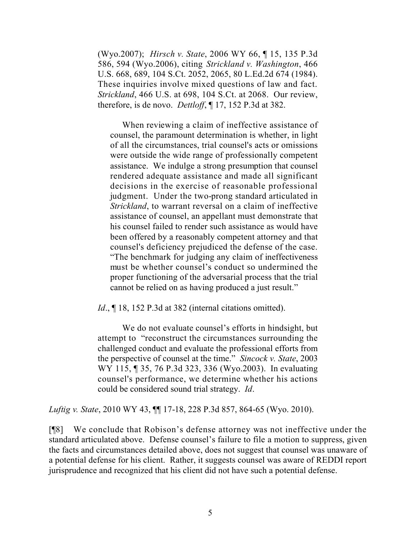(Wyo.2007); *Hirsch v. State*, 2006 WY 66, ¶ 15, 135 P.3d 586, 594 (Wyo.2006), citing *Strickland v. Washington*, 466 U.S. 668, 689, 104 S.Ct. 2052, 2065, 80 L.Ed.2d 674 (1984). These inquiries involve mixed questions of law and fact. *Strickland*, 466 U.S. at 698, 104 S.Ct. at 2068. Our review, therefore, is de novo. *Dettloff*, ¶ 17, 152 P.3d at 382.

When reviewing a claim of ineffective assistance of counsel, the paramount determination is whether, in light of all the circumstances, trial counsel's acts or omissions were outside the wide range of professionally competent assistance. We indulge a strong presumption that counsel rendered adequate assistance and made all significant decisions in the exercise of reasonable professional judgment. Under the two-prong standard articulated in *Strickland*, to warrant reversal on a claim of ineffective assistance of counsel, an appellant must demonstrate that his counsel failed to render such assistance as would have been offered by a reasonably competent attorney and that counsel's deficiency prejudiced the defense of the case. "The benchmark for judging any claim of ineffectiveness must be whether counsel's conduct so undermined the proper functioning of the adversarial process that the trial cannot be relied on as having produced a just result."

*Id.*, 18, 152 P.3d at 382 (internal citations omitted).

We do not evaluate counsel's efforts in hindsight, but attempt to "reconstruct the circumstances surrounding the challenged conduct and evaluate the professional efforts from the perspective of counsel at the time." *Sincock v. State*, 2003 WY 115, 1 35, 76 P.3d 323, 336 (Wyo.2003). In evaluating counsel's performance, we determine whether his actions could be considered sound trial strategy. *Id*.

*Luftig v. State*, 2010 WY 43, ¶¶ 17-18, 228 P.3d 857, 864-65 (Wyo. 2010).

[¶8] We conclude that Robison's defense attorney was not ineffective under the standard articulated above. Defense counsel's failure to file a motion to suppress, given the facts and circumstances detailed above, does not suggest that counsel was unaware of a potential defense for his client. Rather, it suggests counsel was aware of REDDI report jurisprudence and recognized that his client did not have such a potential defense.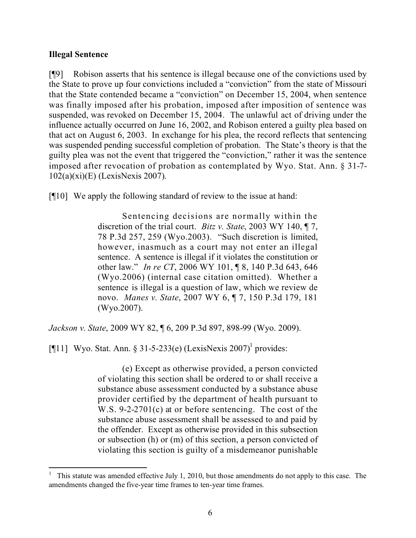### **Illegal Sentence**

[¶9] Robison asserts that his sentence is illegal because one of the convictions used by the State to prove up four convictions included a "conviction" from the state of Missouri that the State contended became a "conviction" on December 15, 2004, when sentence was finally imposed after his probation, imposed after imposition of sentence was suspended, was revoked on December 15, 2004. The unlawful act of driving under the influence actually occurred on June 16, 2002, and Robison entered a guilty plea based on that act on August 6, 2003. In exchange for his plea, the record reflects that sentencing was suspended pending successful completion of probation. The State's theory is that the guilty plea was not the event that triggered the "conviction," rather it was the sentence imposed after revocation of probation as contemplated by Wyo. Stat. Ann. § 31-7- 102(a)(xi)(E) (LexisNexis 2007).

[¶10] We apply the following standard of review to the issue at hand:

Sentencing decisions are normally within the discretion of the trial court. *Bitz v. State*, 2003 WY 140, ¶ 7, 78 P.3d 257, 259 (Wyo.2003). "Such discretion is limited, however, inasmuch as a court may not enter an illegal sentence. A sentence is illegal if it violates the constitution or other law." *In re CT*, 2006 WY 101, ¶ 8, 140 P.3d 643, 646 (Wyo.2006) (internal case citation omitted). Whether a sentence is illegal is a question of law, which we review de novo. *Manes v. State*, 2007 WY 6, ¶ 7, 150 P.3d 179, 181 (Wyo.2007).

*Jackson v. State*, 2009 WY 82, ¶ 6, 209 P.3d 897, 898-99 (Wyo. 2009).

[¶11] Wyo. Stat. Ann. § 31-5-233(e) (LexisNexis 2007)<sup>1</sup> provides:

 $\overline{a}$ 

(e) Except as otherwise provided, a person convicted of violating this section shall be ordered to or shall receive a substance abuse assessment conducted by a substance abuse provider certified by the department of health pursuant to W.S. 9-2-2701(c) at or before sentencing. The cost of the substance abuse assessment shall be assessed to and paid by the offender. Except as otherwise provided in this subsection or subsection (h) or (m) of this section, a person convicted of violating this section is guilty of a misdemeanor punishable

<sup>1</sup> This statute was amended effective July 1, 2010, but those amendments do not apply to this case. The amendments changed the five-year time frames to ten-year time frames.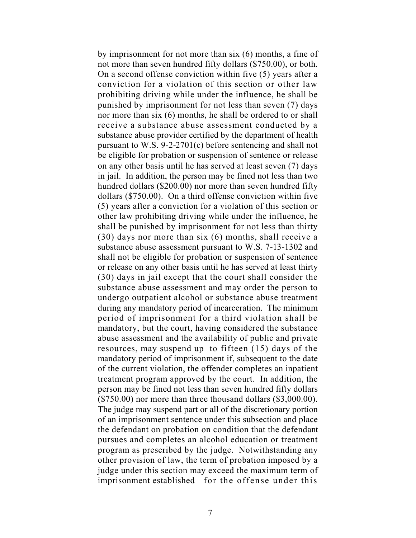by imprisonment for not more than six (6) months, a fine of not more than seven hundred fifty dollars (\$750.00), or both. On a second offense conviction within five (5) years after a conviction for a violation of this section or other law prohibiting driving while under the influence, he shall be punished by imprisonment for not less than seven (7) days nor more than six (6) months, he shall be ordered to or shall receive a substance abuse assessment conducted by a substance abuse provider certified by the department of health pursuant to W.S. 9-2-2701(c) before sentencing and shall not be eligible for probation or suspension of sentence or release on any other basis until he has served at least seven (7) days in jail. In addition, the person may be fined not less than two hundred dollars (\$200.00) nor more than seven hundred fifty dollars (\$750.00). On a third offense conviction within five (5) years after a conviction for a violation of this section or other law prohibiting driving while under the influence, he shall be punished by imprisonment for not less than thirty (30) days nor more than six (6) months, shall receive a substance abuse assessment pursuant to W.S. 7-13-1302 and shall not be eligible for probation or suspension of sentence or release on any other basis until he has served at least thirty (30) days in jail except that the court shall consider the substance abuse assessment and may order the person to undergo outpatient alcohol or substance abuse treatment during any mandatory period of incarceration. The minimum period of imprisonment for a third violation shall be mandatory, but the court, having considered the substance abuse assessment and the availability of public and private resources, may suspend up to fifteen (15) days of the mandatory period of imprisonment if, subsequent to the date of the current violation, the offender completes an inpatient treatment program approved by the court. In addition, the person may be fined not less than seven hundred fifty dollars (\$750.00) nor more than three thousand dollars (\$3,000.00). The judge may suspend part or all of the discretionary portion of an imprisonment sentence under this subsection and place the defendant on probation on condition that the defendant pursues and completes an alcohol education or treatment program as prescribed by the judge. Notwithstanding any other provision of law, the term of probation imposed by a judge under this section may exceed the maximum term of imprisonment established for the offense under this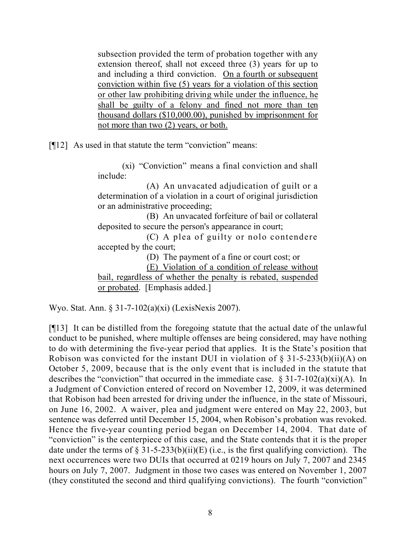subsection provided the term of probation together with any extension thereof, shall not exceed three (3) years for up to and including a third conviction. On a fourth or subsequent conviction within five (5) years for a violation of this section or other law prohibiting driving while under the influence, he shall be guilty of a felony and fined not more than ten thousand dollars (\$10,000.00), punished by imprisonment for not more than two (2) years, or both.

[¶12] As used in that statute the term "conviction" means:

(xi) "Conviction" means a final conviction and shall include:

(A) An unvacated adjudication of guilt or a determination of a violation in a court of original jurisdiction or an administrative proceeding;

(B) An unvacated forfeiture of bail or collateral deposited to secure the person's appearance in court;

(C) A plea of guilty or nolo contendere accepted by the court;

(D) The payment of a fine or court cost; or

(E) Violation of a condition of release without

bail, regardless of whether the penalty is rebated, suspended or probated. [Emphasis added.]

Wyo. Stat. Ann. § 31-7-102(a)(xi) (LexisNexis 2007).

[¶13] It can be distilled from the foregoing statute that the actual date of the unlawful conduct to be punished, where multiple offenses are being considered, may have nothing to do with determining the five-year period that applies. It is the State's position that Robison was convicted for the instant DUI in violation of  $\S$  31-5-233(b)(ii)(A) on October 5, 2009, because that is the only event that is included in the statute that describes the "conviction" that occurred in the immediate case.  $\S 31-7-102(a)(xi)(A)$ . In a Judgment of Conviction entered of record on November 12, 2009, it was determined that Robison had been arrested for driving under the influence, in the state of Missouri, on June 16, 2002. A waiver, plea and judgment were entered on May 22, 2003, but sentence was deferred until December 15, 2004, when Robison's probation was revoked. Hence the five-year counting period began on December 14, 2004. That date of "conviction" is the centerpiece of this case, and the State contends that it is the proper date under the terms of  $\S 31-5-233(b)(ii)(E)$  (i.e., is the first qualifying conviction). The next occurrences were two DUIs that occurred at 0219 hours on July 7, 2007 and 2345 hours on July 7, 2007. Judgment in those two cases was entered on November 1, 2007 (they constituted the second and third qualifying convictions). The fourth "conviction"